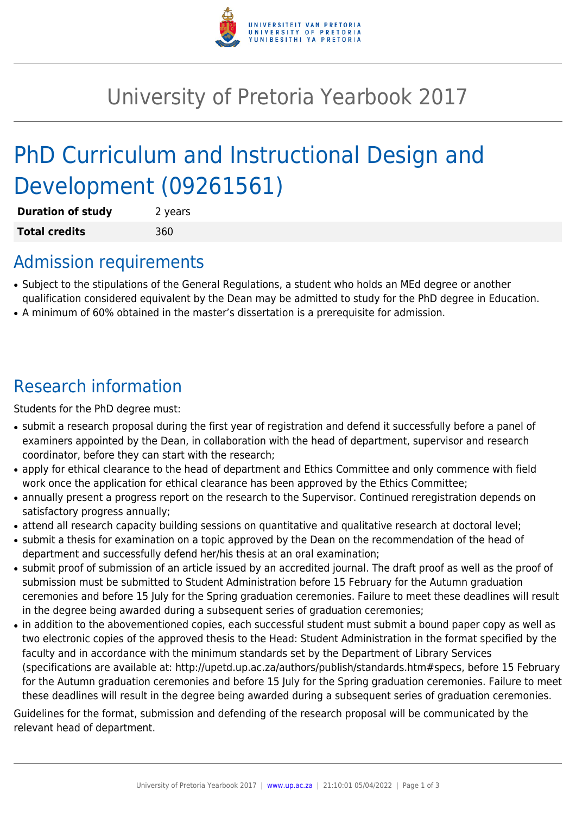

# University of Pretoria Yearbook 2017

# PhD Curriculum and Instructional Design and Development (09261561)

| <b>Duration of study</b> | 2 years |
|--------------------------|---------|
| <b>Total credits</b>     | 360     |

### Admission requirements

- Subject to the stipulations of the General Regulations, a student who holds an MEd degree or another qualification considered equivalent by the Dean may be admitted to study for the PhD degree in Education.
- A minimum of 60% obtained in the master's dissertation is a prerequisite for admission.

## Research information

Students for the PhD degree must:

- submit a research proposal during the first year of registration and defend it successfully before a panel of examiners appointed by the Dean, in collaboration with the head of department, supervisor and research coordinator, before they can start with the research;
- apply for ethical clearance to the head of department and Ethics Committee and only commence with field work once the application for ethical clearance has been approved by the Ethics Committee;
- annually present a progress report on the research to the Supervisor. Continued reregistration depends on satisfactory progress annually;
- attend all research capacity building sessions on quantitative and qualitative research at doctoral level;
- submit a thesis for examination on a topic approved by the Dean on the recommendation of the head of department and successfully defend her/his thesis at an oral examination;
- submit proof of submission of an article issued by an accredited journal. The draft proof as well as the proof of submission must be submitted to Student Administration before 15 February for the Autumn graduation ceremonies and before 15 July for the Spring graduation ceremonies. Failure to meet these deadlines will result in the degree being awarded during a subsequent series of graduation ceremonies;
- in addition to the abovementioned copies, each successful student must submit a bound paper copy as well as two electronic copies of the approved thesis to the Head: Student Administration in the format specified by the faculty and in accordance with the minimum standards set by the Department of Library Services (specifications are available at: http://upetd.up.ac.za/authors/publish/standards.htm#specs, before 15 February for the Autumn graduation ceremonies and before 15 July for the Spring graduation ceremonies. Failure to meet these deadlines will result in the degree being awarded during a subsequent series of graduation ceremonies.

Guidelines for the format, submission and defending of the research proposal will be communicated by the relevant head of department.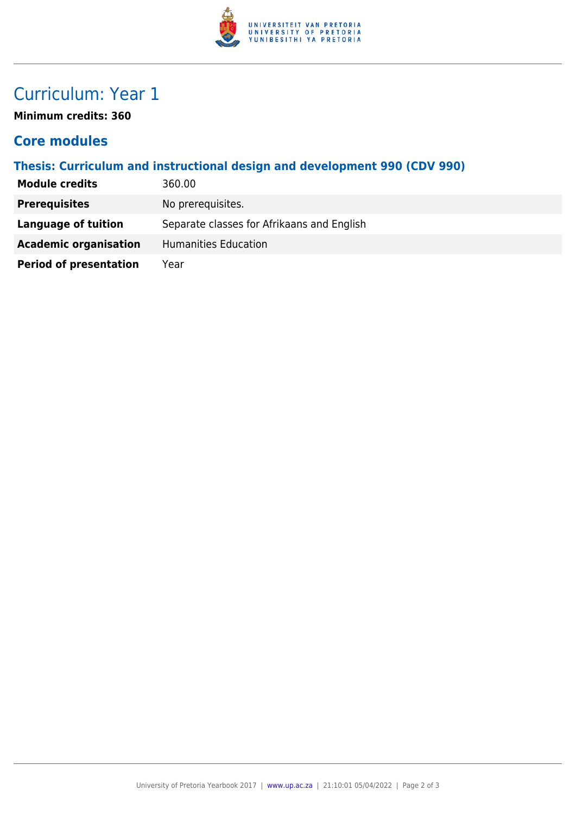

## Curriculum: Year 1

**Minimum credits: 360**

#### **Core modules**

**Thesis: Curriculum and instructional design and development 990 (CDV 990)**

| <b>Module credits</b>         | 360.00                                     |
|-------------------------------|--------------------------------------------|
| <b>Prerequisites</b>          | No prerequisites.                          |
| Language of tuition           | Separate classes for Afrikaans and English |
| <b>Academic organisation</b>  | Humanities Education                       |
| <b>Period of presentation</b> | Year                                       |